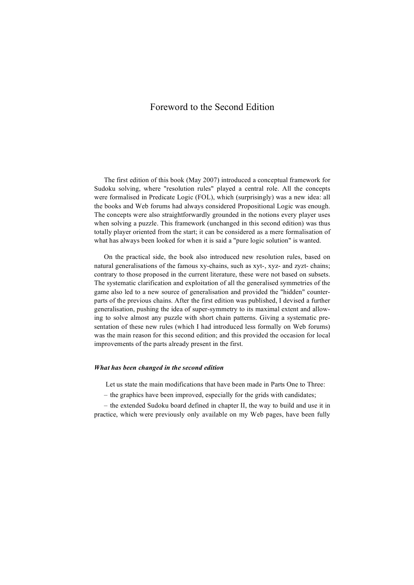## Foreword to the Second Edition

The first edition of this book (May 2007) introduced a conceptual framework for Sudoku solving, where "resolution rules" played a central role. All the concepts were formalised in Predicate Logic (FOL), which (surprisingly) was a new idea: all the books and Web forums had always considered Propositional Logic was enough. The concepts were also straightforwardly grounded in the notions every player uses when solving a puzzle. This framework (unchanged in this second edition) was thus totally player oriented from the start; it can be considered as a mere formalisation of what has always been looked for when it is said a "pure logic solution" is wanted.

On the practical side, the book also introduced new resolution rules, based on natural generalisations of the famous xy-chains, such as xyt-, xyz- and zyzt- chains; contrary to those proposed in the current literature, these were not based on subsets. The systematic clarification and exploitation of all the generalised symmetries of the game also led to a new source of generalisation and provided the "hidden" counterparts of the previous chains. After the first edition was published, I devised a further generalisation, pushing the idea of super-symmetry to its maximal extent and allowing to solve almost any puzzle with short chain patterns. Giving a systematic presentation of these new rules (which I had introduced less formally on Web forums) was the main reason for this second edition; and this provided the occasion for local improvements of the parts already present in the first.

## *What has been changed in the second edition*

Let us state the main modifications that have been made in Parts One to Three:

– the graphics have been improved, especially for the grids with candidates;

– the extended Sudoku board defined in chapter II, the way to build and use it in practice, which were previously only available on my Web pages, have been fully